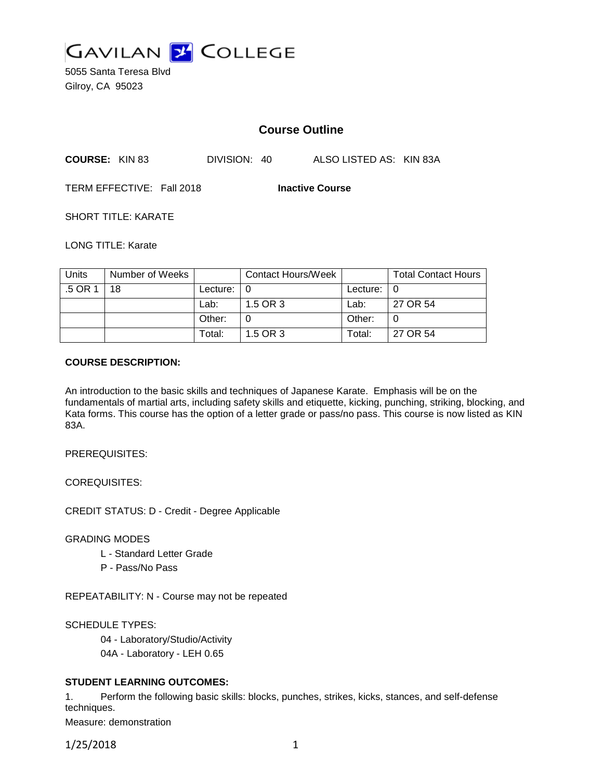

5055 Santa Teresa Blvd Gilroy, CA 95023

# **Course Outline**

| <b>COURSE: KIN 83</b> | DIVISION: 40 | ALSO LISTED AS: KIN 83A |
|-----------------------|--------------|-------------------------|
|-----------------------|--------------|-------------------------|

TERM EFFECTIVE: Fall 2018 **Inactive Course**

SHORT TITLE: KARATE

LONG TITLE: Karate

| Units   | Number of Weeks |                            | Contact Hours/Week |               | <b>Total Contact Hours</b> |
|---------|-----------------|----------------------------|--------------------|---------------|----------------------------|
| .5 OR 1 | 18              | Lecture: $\vert 0 \rangle$ |                    | Lecture: $ 0$ |                            |
|         |                 | Lab:                       | 1.5 OR 3           | Lab:          | 27 OR 54                   |
|         |                 | Other:                     |                    | Other:        |                            |
|         |                 | Total:                     | 1.5 OR 3           | Total:        | 27 OR 54                   |

#### **COURSE DESCRIPTION:**

An introduction to the basic skills and techniques of Japanese Karate. Emphasis will be on the fundamentals of martial arts, including safety skills and etiquette, kicking, punching, striking, blocking, and Kata forms. This course has the option of a letter grade or pass/no pass. This course is now listed as KIN 83A.

PREREQUISITES:

COREQUISITES:

CREDIT STATUS: D - Credit - Degree Applicable

GRADING MODES

- L Standard Letter Grade
- P Pass/No Pass

REPEATABILITY: N - Course may not be repeated

SCHEDULE TYPES:

04 - Laboratory/Studio/Activity

04A - Laboratory - LEH 0.65

## **STUDENT LEARNING OUTCOMES:**

1. Perform the following basic skills: blocks, punches, strikes, kicks, stances, and self-defense techniques.

Measure: demonstration

1/25/2018 1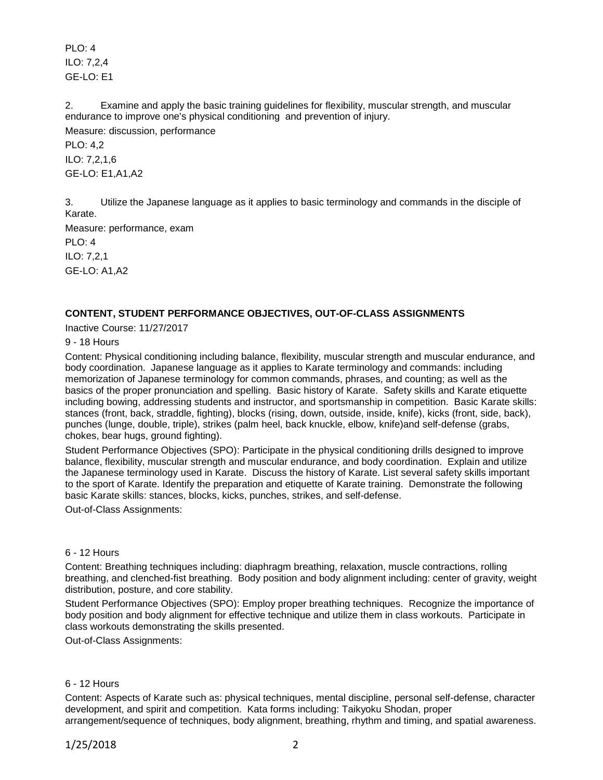PLO: 4 ILO: 7,2,4 GE-LO: E1

2. Examine and apply the basic training guidelines for flexibility, muscular strength, and muscular endurance to improve one's physical conditioning and prevention of injury. Measure: discussion, performance

PLO: 4,2 ILO: 7,2,1,6 GE-LO: E1,A1,A2

3. Utilize the Japanese language as it applies to basic terminology and commands in the disciple of Karate.

Measure: performance, exam PLO: 4 ILO: 7,2,1

GE-LO: A1,A2

# **CONTENT, STUDENT PERFORMANCE OBJECTIVES, OUT-OF-CLASS ASSIGNMENTS**

Inactive Course: 11/27/2017

9 - 18 Hours

Content: Physical conditioning including balance, flexibility, muscular strength and muscular endurance, and body coordination. Japanese language as it applies to Karate terminology and commands: including memorization of Japanese terminology for common commands, phrases, and counting; as well as the basics of the proper pronunciation and spelling. Basic history of Karate. Safety skills and Karate etiquette including bowing, addressing students and instructor, and sportsmanship in competition. Basic Karate skills: stances (front, back, straddle, fighting), blocks (rising, down, outside, inside, knife), kicks (front, side, back), punches (lunge, double, triple), strikes (palm heel, back knuckle, elbow, knife)and self-defense (grabs, chokes, bear hugs, ground fighting).

Student Performance Objectives (SPO): Participate in the physical conditioning drills designed to improve balance, flexibility, muscular strength and muscular endurance, and body coordination. Explain and utilize the Japanese terminology used in Karate. Discuss the history of Karate. List several safety skills important to the sport of Karate. Identify the preparation and etiquette of Karate training. Demonstrate the following basic Karate skills: stances, blocks, kicks, punches, strikes, and self-defense.

Out-of-Class Assignments:

#### 6 - 12 Hours

Content: Breathing techniques including: diaphragm breathing, relaxation, muscle contractions, rolling breathing, and clenched-fist breathing. Body position and body alignment including: center of gravity, weight distribution, posture, and core stability.

Student Performance Objectives (SPO): Employ proper breathing techniques. Recognize the importance of body position and body alignment for effective technique and utilize them in class workouts. Participate in class workouts demonstrating the skills presented.

Out-of-Class Assignments:

## 6 - 12 Hours

Content: Aspects of Karate such as: physical techniques, mental discipline, personal self-defense, character development, and spirit and competition. Kata forms including: Taikyoku Shodan, proper arrangement/sequence of techniques, body alignment, breathing, rhythm and timing, and spatial awareness.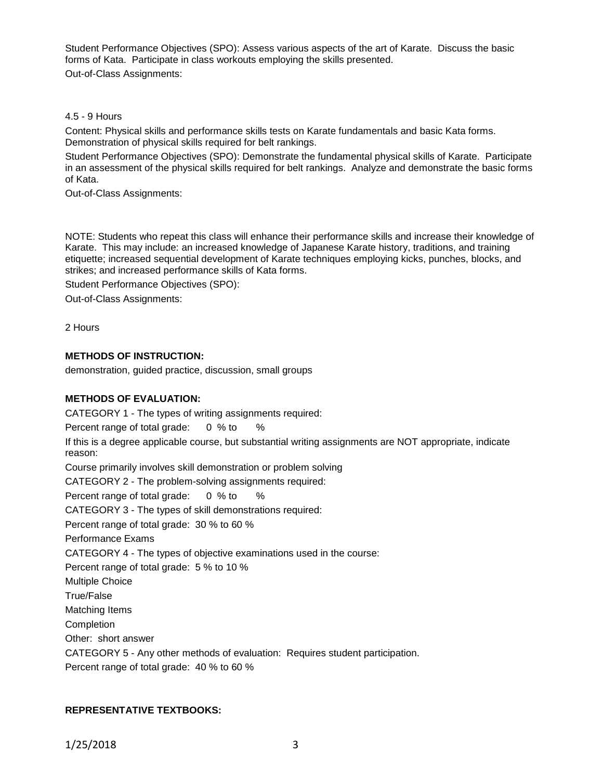Student Performance Objectives (SPO): Assess various aspects of the art of Karate. Discuss the basic forms of Kata. Participate in class workouts employing the skills presented.

Out-of-Class Assignments:

## 4.5 - 9 Hours

Content: Physical skills and performance skills tests on Karate fundamentals and basic Kata forms. Demonstration of physical skills required for belt rankings.

Student Performance Objectives (SPO): Demonstrate the fundamental physical skills of Karate. Participate in an assessment of the physical skills required for belt rankings. Analyze and demonstrate the basic forms of Kata.

Out-of-Class Assignments:

NOTE: Students who repeat this class will enhance their performance skills and increase their knowledge of Karate. This may include: an increased knowledge of Japanese Karate history, traditions, and training etiquette; increased sequential development of Karate techniques employing kicks, punches, blocks, and strikes; and increased performance skills of Kata forms.

Student Performance Objectives (SPO):

Out-of-Class Assignments:

2 Hours

# **METHODS OF INSTRUCTION:**

demonstration, guided practice, discussion, small groups

## **METHODS OF EVALUATION:**

CATEGORY 1 - The types of writing assignments required: Percent range of total grade: 0 % to % If this is a degree applicable course, but substantial writing assignments are NOT appropriate, indicate reason: Course primarily involves skill demonstration or problem solving CATEGORY 2 - The problem-solving assignments required: Percent range of total grade: 0 % to % CATEGORY 3 - The types of skill demonstrations required: Percent range of total grade: 30 % to 60 % Performance Exams CATEGORY 4 - The types of objective examinations used in the course: Percent range of total grade: 5 % to 10 % Multiple Choice True/False Matching Items Completion Other: short answer CATEGORY 5 - Any other methods of evaluation: Requires student participation.

Percent range of total grade: 40 % to 60 %

## **REPRESENTATIVE TEXTBOOKS:**